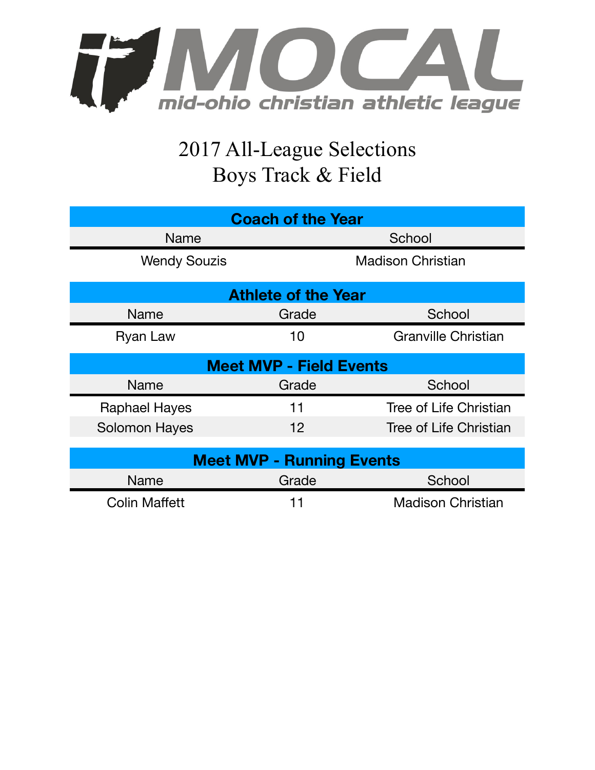

## 2017 All-League Selections Boys Track & Field

| <b>Coach of the Year</b>         |       |                            |  |  |  |
|----------------------------------|-------|----------------------------|--|--|--|
| <b>Name</b>                      |       | School                     |  |  |  |
| <b>Wendy Souzis</b>              |       | <b>Madison Christian</b>   |  |  |  |
| <b>Athlete of the Year</b>       |       |                            |  |  |  |
| <b>Name</b>                      | Grade | School                     |  |  |  |
| Ryan Law                         | 10    | <b>Granville Christian</b> |  |  |  |
| <b>Meet MVP - Field Events</b>   |       |                            |  |  |  |
| <b>Name</b>                      | Grade | School                     |  |  |  |
| <b>Raphael Hayes</b>             | 11    | Tree of Life Christian     |  |  |  |
| <b>Solomon Hayes</b>             | 12    | Tree of Life Christian     |  |  |  |
|                                  |       |                            |  |  |  |
| <b>Meet MVP - Running Events</b> |       |                            |  |  |  |
| <b>Name</b>                      | Grade | School                     |  |  |  |
| <b>Colin Maffett</b>             | 11    | <b>Madison Christian</b>   |  |  |  |